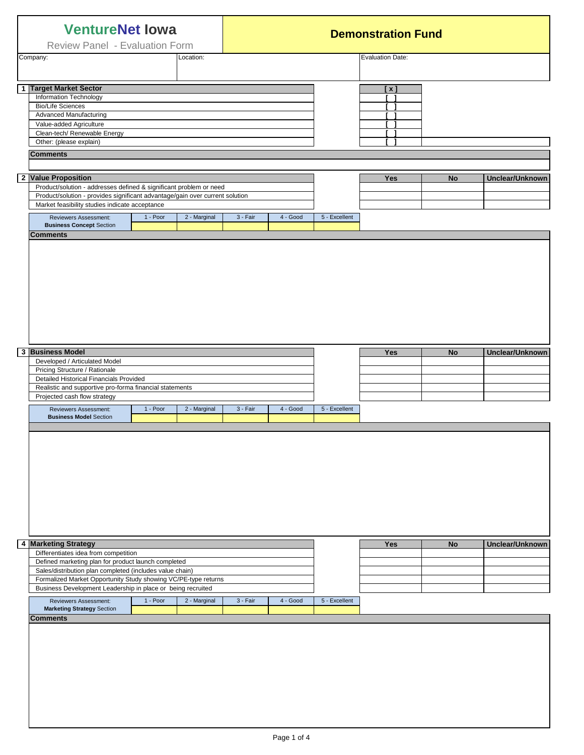| <b>VentureNet lowa</b><br>Review Panel - Evaluation Form |                                                                                                                                                                                                                        |          |                         | <b>Demonstration Fund</b> |          |               |                    |           |                        |
|----------------------------------------------------------|------------------------------------------------------------------------------------------------------------------------------------------------------------------------------------------------------------------------|----------|-------------------------|---------------------------|----------|---------------|--------------------|-----------|------------------------|
| Location:<br>Company:                                    |                                                                                                                                                                                                                        |          | <b>Evaluation Date:</b> |                           |          |               |                    |           |                        |
|                                                          | 1 Target Market Sector<br>Information Technology<br><b>Bio/Life Sciences</b><br><b>Advanced Manufacturing</b><br>Value-added Agriculture<br>Clean-tech/ Renewable Energy<br>Other: (please explain)<br><b>Comments</b> |          |                         |                           |          |               | [ <b>x</b> ]<br>r. |           |                        |
|                                                          | 2 Value Proposition<br>Product/solution - addresses defined & significant problem or need<br>Product/solution - provides significant advantage/gain over current solution                                              |          |                         |                           |          |               | <b>Yes</b>         | <b>No</b> | Unclear/Unknown        |
|                                                          | Market feasibility studies indicate acceptance                                                                                                                                                                         |          |                         |                           |          |               |                    |           |                        |
|                                                          | Reviewers Assessment:<br><b>Business Concept Section</b><br><b>Comments</b>                                                                                                                                            | 1 - Poor | 2 - Marginal            | 3 - Fair                  | 4 - Good | 5 - Excellent |                    |           |                        |
|                                                          |                                                                                                                                                                                                                        |          |                         |                           |          |               |                    |           |                        |
|                                                          | 3 Business Model<br>Developed / Articulated Model                                                                                                                                                                      |          |                         |                           |          |               | Yes                | <b>No</b> | Unclear/Unknown        |
|                                                          | Pricing Structure / Rationale<br>Detailed Historical Financials Provided                                                                                                                                               |          |                         |                           |          |               |                    |           |                        |
|                                                          | Realistic and supportive pro-forma financial statements                                                                                                                                                                |          |                         |                           |          |               |                    |           |                        |
|                                                          | Projected cash flow strategy<br><b>Reviewers Assessment:</b>                                                                                                                                                           | 1 - Poor | 2 - Marginal            | 3 - Fair                  | 4 - Good | 5 - Excellent |                    |           |                        |
|                                                          |                                                                                                                                                                                                                        |          |                         |                           |          |               |                    |           |                        |
|                                                          | 4 Marketing Strategy<br>Differentiates idea from competition                                                                                                                                                           |          |                         |                           |          |               | Yes                | <b>No</b> | <b>Unclear/Unknown</b> |
|                                                          | Defined marketing plan for product launch completed<br>Sales/distribution plan completed (includes value chain)                                                                                                        |          |                         |                           |          |               |                    |           |                        |
|                                                          | Formalized Market Opportunity Study showing VC/PE-type returns<br>Business Development Leadership in place or being recruited                                                                                          |          |                         |                           |          |               |                    |           |                        |
|                                                          | Reviewers Assessment:                                                                                                                                                                                                  | 1 - Poor | 2 - Marginal            | 3 - Fair                  | 4 - Good | 5 - Excellent |                    |           |                        |
|                                                          | <b>Marketing Strategy Section</b><br><b>Comments</b>                                                                                                                                                                   |          |                         |                           |          |               |                    |           |                        |
|                                                          |                                                                                                                                                                                                                        |          |                         |                           |          |               |                    |           |                        |
|                                                          |                                                                                                                                                                                                                        |          |                         |                           |          |               |                    |           |                        |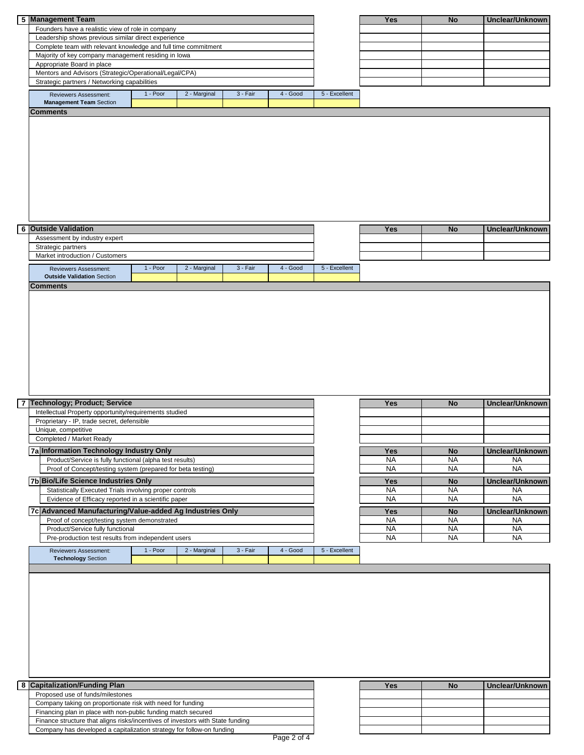| 5 Management Team                                                              |          |              |          |          |               | Yes        | <b>No</b> | Unclear/Unknown |
|--------------------------------------------------------------------------------|----------|--------------|----------|----------|---------------|------------|-----------|-----------------|
| Founders have a realistic view of role in company                              |          |              |          |          |               |            |           |                 |
| Leadership shows previous similar direct experience                            |          |              |          |          |               |            |           |                 |
| Complete team with relevant knowledge and full time commitment                 |          |              |          |          |               |            |           |                 |
| Majority of key company management residing in lowa                            |          |              |          |          |               |            |           |                 |
| Appropriate Board in place                                                     |          |              |          |          |               |            |           |                 |
| Mentors and Advisors (Strategic/Operational/Legal/CPA)                         |          |              |          |          |               |            |           |                 |
| Strategic partners / Networking capabilities                                   |          |              |          |          |               |            |           |                 |
| Reviewers Assessment:                                                          | 1 - Poor | 2 - Marginal | 3 - Fair | 4 - Good | 5 - Excellent |            |           |                 |
| <b>Management Team Section</b>                                                 |          |              |          |          |               |            |           |                 |
| <b>Comments</b>                                                                |          |              |          |          |               |            |           |                 |
|                                                                                |          |              |          |          |               |            |           |                 |
|                                                                                |          |              |          |          |               |            |           |                 |
|                                                                                |          |              |          |          |               |            |           |                 |
|                                                                                |          |              |          |          |               |            |           |                 |
|                                                                                |          |              |          |          |               |            |           |                 |
|                                                                                |          |              |          |          |               |            |           |                 |
|                                                                                |          |              |          |          |               |            |           |                 |
|                                                                                |          |              |          |          |               |            |           |                 |
|                                                                                |          |              |          |          |               |            |           |                 |
|                                                                                |          |              |          |          |               |            |           |                 |
|                                                                                |          |              |          |          |               |            |           |                 |
| <b>6</b> Outside Validation                                                    |          |              |          |          |               | Yes        | No        | Unclear/Unknown |
| Assessment by industry expert                                                  |          |              |          |          |               |            |           |                 |
| Strategic partners                                                             |          |              |          |          |               |            |           |                 |
| Market introduction / Customers                                                |          |              |          |          |               |            |           |                 |
| Reviewers Assessment:                                                          | 1 - Poor | 2 - Marginal | 3 - Fair | 4 - Good | 5 - Excellent |            |           |                 |
| <b>Outside Validation Section</b>                                              |          |              |          |          |               |            |           |                 |
| <b>Comments</b>                                                                |          |              |          |          |               |            |           |                 |
|                                                                                |          |              |          |          |               |            |           |                 |
|                                                                                |          |              |          |          |               |            |           |                 |
|                                                                                |          |              |          |          |               |            |           |                 |
|                                                                                |          |              |          |          |               |            |           |                 |
|                                                                                |          |              |          |          |               |            |           |                 |
|                                                                                |          |              |          |          |               |            |           |                 |
|                                                                                |          |              |          |          |               |            |           |                 |
|                                                                                |          |              |          |          |               |            |           |                 |
|                                                                                |          |              |          |          |               |            |           |                 |
|                                                                                |          |              |          |          |               |            |           |                 |
|                                                                                |          |              |          |          |               |            |           |                 |
| 7 Technology; Product; Service                                                 |          |              |          |          |               | <b>Yes</b> | No        | Unclear/Unknown |
| Intellectual Property opportunity/requirements studied                         |          |              |          |          |               |            |           |                 |
| Proprietary - IP, trade secret, defensible                                     |          |              |          |          |               |            |           |                 |
| Unique, competitive                                                            |          |              |          |          |               |            |           |                 |
| Completed / Market Ready                                                       |          |              |          |          |               |            |           |                 |
| 7a Information Technology Industry Only                                        |          |              |          |          |               | Yes        | No        | Unclear/Unknown |
| Product/Service is fully functional (alpha test results)                       |          |              |          |          |               | <b>NA</b>  | <b>NA</b> | NA              |
| Proof of Concept/testing system (prepared for beta testing)                    |          |              |          |          |               | <b>NA</b>  | <b>NA</b> | <b>NA</b>       |
| 7b Bio/Life Science Industries Only                                            |          |              |          |          |               | <b>Yes</b> | <b>No</b> | Unclear/Unknown |
| Statistically Executed Trials involving proper controls                        |          |              |          |          |               | <b>NA</b>  | <b>NA</b> | <b>NA</b>       |
| Evidence of Efficacy reported in a scientific paper                            |          |              |          |          |               | <b>NA</b>  | <b>NA</b> | <b>NA</b>       |
| 7c Advanced Manufacturing/Value-added Ag Industries Only                       |          |              |          |          |               | Yes        | No        | Unclear/Unknown |
| Proof of concept/testing system demonstrated                                   |          |              |          |          |               | <b>NA</b>  | <b>NA</b> | NA              |
| Product/Service fully functional                                               |          |              |          |          |               | NA         | <b>NA</b> | <b>NA</b>       |
| Pre-production test results from independent users                             |          |              |          |          |               | <b>NA</b>  | <b>NA</b> | <b>NA</b>       |
| Reviewers Assessment:                                                          | 1 - Poor | 2 - Marginal | 3 - Fair | 4 - Good | 5 - Excellent |            |           |                 |
| <b>Technology Section</b>                                                      |          |              |          |          |               |            |           |                 |
|                                                                                |          |              |          |          |               |            |           |                 |
|                                                                                |          |              |          |          |               |            |           |                 |
|                                                                                |          |              |          |          |               |            |           |                 |
|                                                                                |          |              |          |          |               |            |           |                 |
|                                                                                |          |              |          |          |               |            |           |                 |
|                                                                                |          |              |          |          |               |            |           |                 |
|                                                                                |          |              |          |          |               |            |           |                 |
|                                                                                |          |              |          |          |               |            |           |                 |
|                                                                                |          |              |          |          |               |            |           |                 |
|                                                                                |          |              |          |          |               |            |           |                 |
|                                                                                |          |              |          |          |               |            |           |                 |
|                                                                                |          |              |          |          |               |            |           |                 |
| 8 Capitalization/Funding Plan                                                  |          |              |          |          |               | Yes        | No        | Unclear/Unknown |
| Proposed use of funds/milestones                                               |          |              |          |          |               |            |           |                 |
| Company taking on proportionate risk with need for funding                     |          |              |          |          |               |            |           |                 |
| Financing plan in place with non-public funding match secured                  |          |              |          |          |               |            |           |                 |
| Finance structure that aligns risks/incentives of investors with State funding |          |              |          |          |               |            |           |                 |
| Company has developed a capitalization strategy for follow-on funding          |          |              |          |          |               |            |           |                 |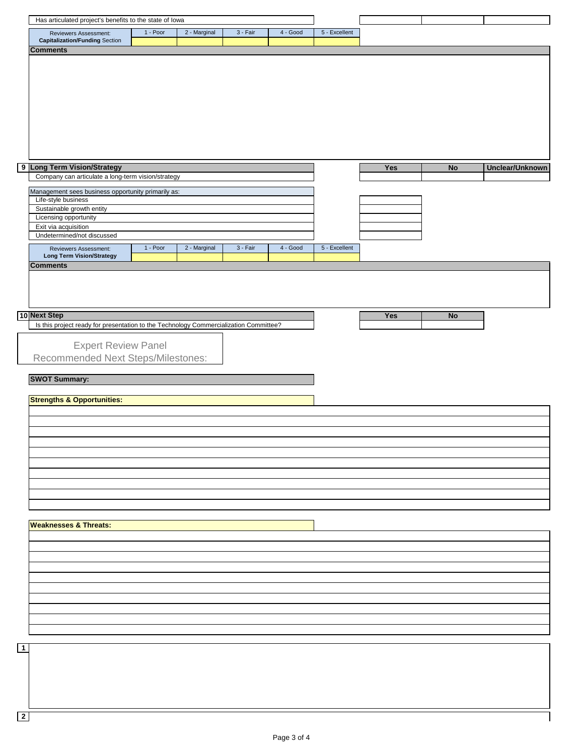|             | Has articulated project's benefits to the state of lowa                                               |          |              |            |            |               |     |           |                 |
|-------------|-------------------------------------------------------------------------------------------------------|----------|--------------|------------|------------|---------------|-----|-----------|-----------------|
|             | Reviewers Assessment:                                                                                 | 1 - Poor | 2 - Marginal | $3 - Fair$ | $4 - Good$ | 5 - Excellent |     |           |                 |
|             | <b>Capitalization/Funding Section</b>                                                                 |          |              |            |            |               |     |           |                 |
|             | <b>Comments</b>                                                                                       |          |              |            |            |               |     |           |                 |
|             |                                                                                                       |          |              |            |            |               |     |           |                 |
|             |                                                                                                       |          |              |            |            |               |     |           |                 |
|             |                                                                                                       |          |              |            |            |               |     |           |                 |
|             |                                                                                                       |          |              |            |            |               |     |           |                 |
|             |                                                                                                       |          |              |            |            |               |     |           |                 |
|             |                                                                                                       |          |              |            |            |               |     |           |                 |
|             |                                                                                                       |          |              |            |            |               |     |           |                 |
|             |                                                                                                       |          |              |            |            |               |     |           |                 |
|             |                                                                                                       |          |              |            |            |               |     |           |                 |
|             |                                                                                                       |          |              |            |            |               |     |           |                 |
|             |                                                                                                       |          |              |            |            |               |     |           |                 |
|             | 9 Long Term Vision/Strategy                                                                           |          |              |            |            |               | Yes | No        | Unclear/Unknown |
|             | Company can articulate a long-term vision/strategy                                                    |          |              |            |            |               |     |           |                 |
|             |                                                                                                       |          |              |            |            |               |     |           |                 |
|             | Management sees business opportunity primarily as:                                                    |          |              |            |            |               |     |           |                 |
|             | Life-style business                                                                                   |          |              |            |            |               |     |           |                 |
|             | Sustainable growth entity                                                                             |          |              |            |            |               |     |           |                 |
|             | Licensing opportunity                                                                                 |          |              |            |            |               |     |           |                 |
|             | Exit via acquisition                                                                                  |          |              |            |            |               |     |           |                 |
|             | Undetermined/not discussed                                                                            |          |              |            |            |               |     |           |                 |
|             | Reviewers Assessment:                                                                                 | 1 - Poor | 2 - Marginal | $3 - Fair$ | 4 - Good   | 5 - Excellent |     |           |                 |
|             | <b>Long Term Vision/Strategy</b>                                                                      |          |              |            |            |               |     |           |                 |
|             | <b>Comments</b>                                                                                       |          |              |            |            |               |     |           |                 |
|             |                                                                                                       |          |              |            |            |               |     |           |                 |
|             |                                                                                                       |          |              |            |            |               |     |           |                 |
|             |                                                                                                       |          |              |            |            |               |     |           |                 |
|             |                                                                                                       |          |              |            |            |               |     |           |                 |
|             |                                                                                                       |          |              |            |            |               |     |           |                 |
|             | 10 Next Step<br>Is this project ready for presentation to the Technology Commercialization Committee? |          |              |            |            |               | Yes | <b>No</b> |                 |
|             |                                                                                                       |          |              |            |            |               |     |           |                 |
|             |                                                                                                       |          |              |            |            |               |     |           |                 |
|             | <b>Expert Review Panel</b>                                                                            |          |              |            |            |               |     |           |                 |
|             | Recommended Next Steps/Milestones:                                                                    |          |              |            |            |               |     |           |                 |
|             |                                                                                                       |          |              |            |            |               |     |           |                 |
|             | <b>SWOT Summary:</b>                                                                                  |          |              |            |            |               |     |           |                 |
|             |                                                                                                       |          |              |            |            |               |     |           |                 |
|             | <b>Strengths &amp; Opportunities:</b>                                                                 |          |              |            |            |               |     |           |                 |
|             |                                                                                                       |          |              |            |            |               |     |           |                 |
|             |                                                                                                       |          |              |            |            |               |     |           |                 |
|             |                                                                                                       |          |              |            |            |               |     |           |                 |
|             |                                                                                                       |          |              |            |            |               |     |           |                 |
|             |                                                                                                       |          |              |            |            |               |     |           |                 |
|             |                                                                                                       |          |              |            |            |               |     |           |                 |
|             |                                                                                                       |          |              |            |            |               |     |           |                 |
|             |                                                                                                       |          |              |            |            |               |     |           |                 |
|             |                                                                                                       |          |              |            |            |               |     |           |                 |
|             |                                                                                                       |          |              |            |            |               |     |           |                 |
|             |                                                                                                       |          |              |            |            |               |     |           |                 |
|             |                                                                                                       |          |              |            |            |               |     |           |                 |
|             |                                                                                                       |          |              |            |            |               |     |           |                 |
|             | <b>Weaknesses &amp; Threats:</b>                                                                      |          |              |            |            |               |     |           |                 |
|             |                                                                                                       |          |              |            |            |               |     |           |                 |
|             |                                                                                                       |          |              |            |            |               |     |           |                 |
|             |                                                                                                       |          |              |            |            |               |     |           |                 |
|             |                                                                                                       |          |              |            |            |               |     |           |                 |
|             |                                                                                                       |          |              |            |            |               |     |           |                 |
|             |                                                                                                       |          |              |            |            |               |     |           |                 |
|             |                                                                                                       |          |              |            |            |               |     |           |                 |
|             |                                                                                                       |          |              |            |            |               |     |           |                 |
|             |                                                                                                       |          |              |            |            |               |     |           |                 |
|             |                                                                                                       |          |              |            |            |               |     |           |                 |
|             |                                                                                                       |          |              |            |            |               |     |           |                 |
|             |                                                                                                       |          |              |            |            |               |     |           |                 |
| $\boxed{1}$ |                                                                                                       |          |              |            |            |               |     |           |                 |
|             |                                                                                                       |          |              |            |            |               |     |           |                 |
|             |                                                                                                       |          |              |            |            |               |     |           |                 |

**2**